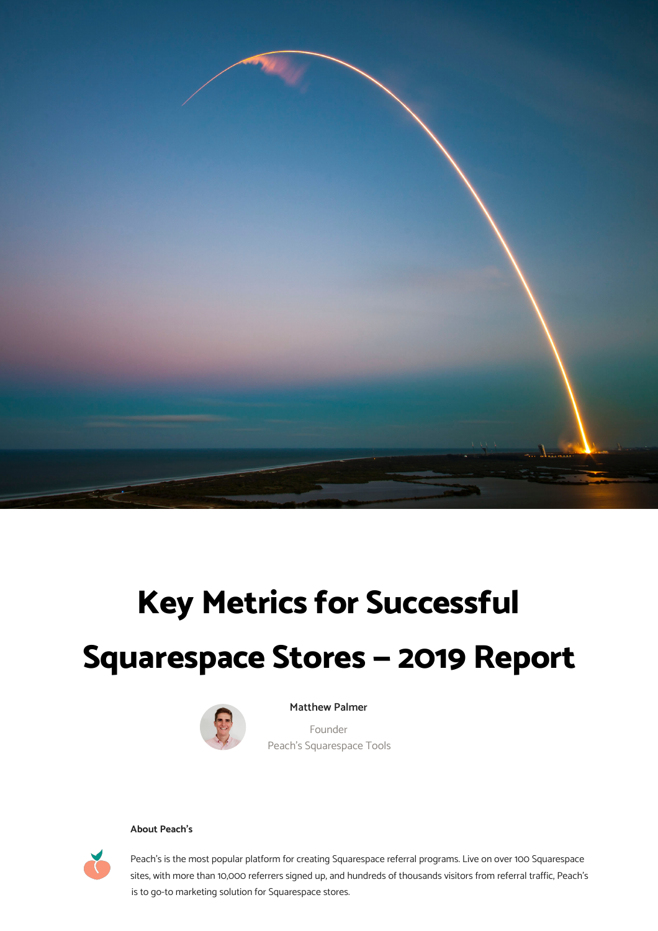

# **Key Metrics for Successful Squarespace Stores — 2019 Report**



**Matthew Palmer** 

Founder Peach's Squarespace Tools

#### **About Peach's**



1 sites, with more than 10,000 referrers signed up, and hundreds of thousands visitors from referral traffic, Peach's Peach's is the most popular platform for creating Squarespace referral programs. Live on over 100 Squarespace is to go-to marketing solution for Squarespace stores.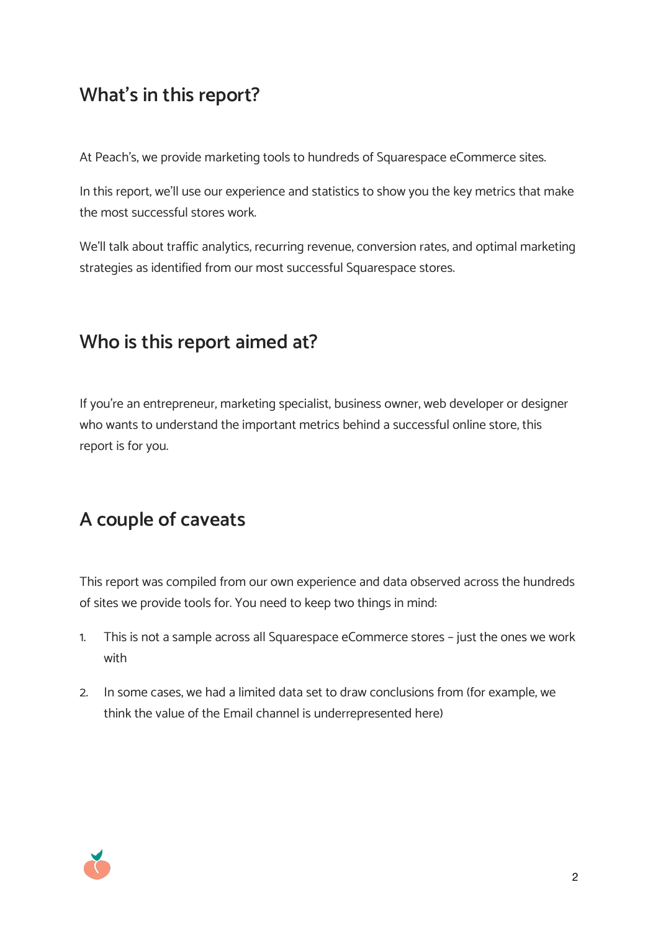## **What's in this report?**

At Peach's, we provide marketing tools to hundreds of Squarespace eCommerce sites.

In this report, we'll use our experience and statistics to show you the key metrics that make the most successful stores work.

We'll talk about traffic analytics, recurring revenue, conversion rates, and optimal marketing strategies as identified from our most successful Squarespace stores.

## **Who is this report aimed at?**

If you're an entrepreneur, marketing specialist, business owner, web developer or designer who wants to understand the important metrics behind a successful online store, this report is for you.

## **A couple of caveats**

This report was compiled from our own experience and data observed across the hundreds of sites we provide tools for. You need to keep two things in mind:

- 1. This is not a sample across all Squarespace eCommerce stores just the ones we work with
- 2. In some cases, we had a limited data set to draw conclusions from (for example, we think the value of the Email channel is underrepresented here)

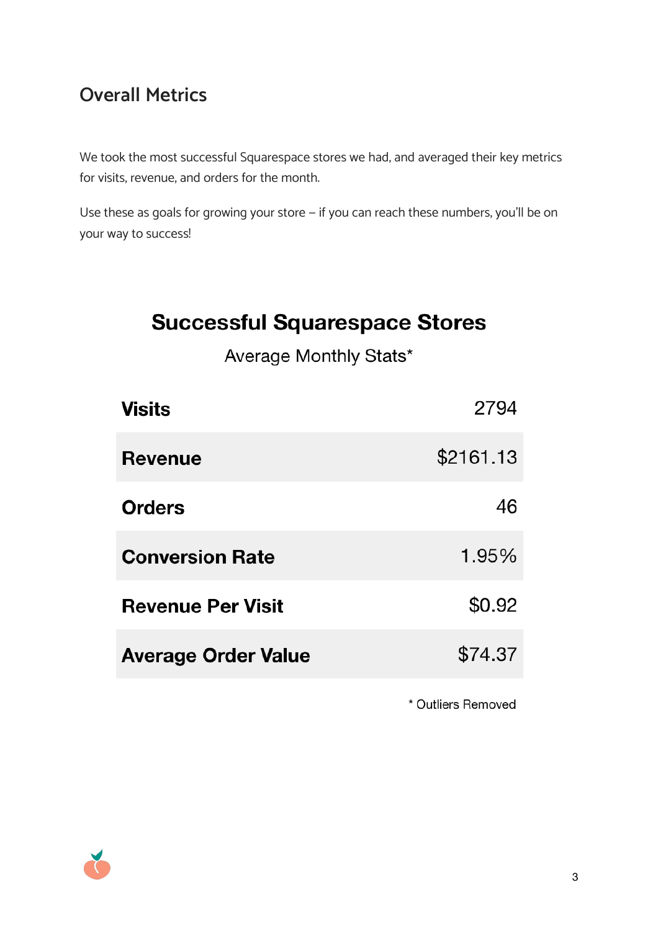## **Overall Metrics**

We took the most successful Squarespace stores we had, and averaged their key metrics for visits, revenue, and orders for the month.

Use these as goals for growing your store — if you can reach these numbers, you'll be on your way to success!

# **Successful Squarespace Stores**

Average Monthly Stats\*

| 2794      |
|-----------|
| \$2161.13 |
| 46        |
| 1.95%     |
| \$0.92    |
| \$74.37   |
|           |

\* Outliers Removed

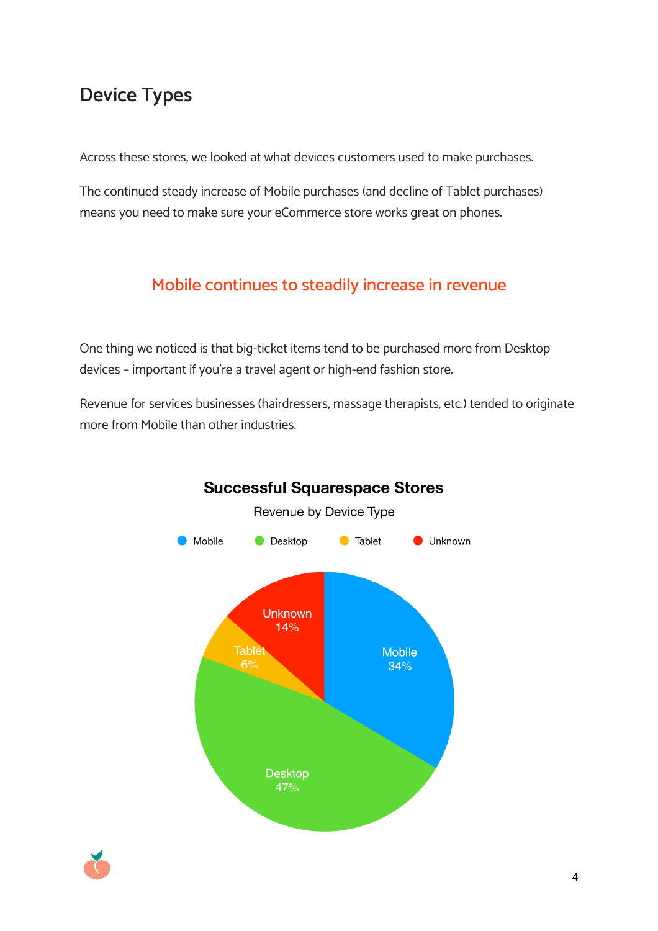## **Device Types**

Across these stores, we looked at what devices customers used to make purchases.

The continued steady increase of Mobile purchases (and decline of Tablet purchases) means you need to make sure your eCommerce store works great on phones.

## Mobile continues to steadily increase in revenue

One thing we noticed is that big-ticket items tend to be purchased more from Desktop devices – important if you're a travel agent or high-end fashion store.

Revenue for services businesses (hairdressers, massage therapists, etc.) tended to originate more from Mobile than other industries.



#### **Successful Squarespace Stores**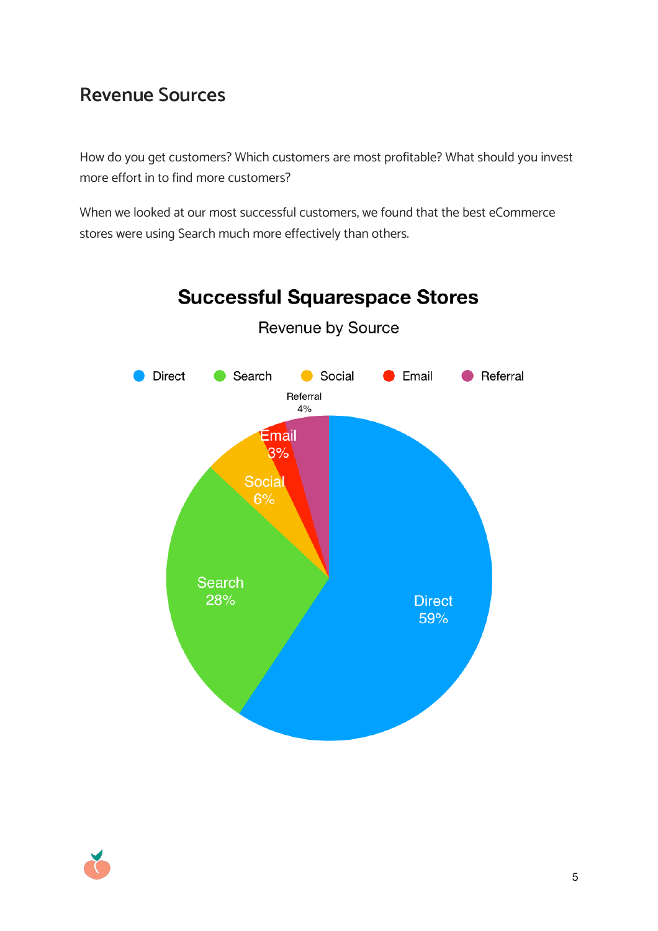## **Revenue Sources**

How do you get customers? Which customers are most profitable? What should you invest more effort in to find more customers?

When we looked at our most successful customers, we found that the best eCommerce stores were using Search much more effectively than others.



Revenue by Source

**Successful Squarespace Stores** 

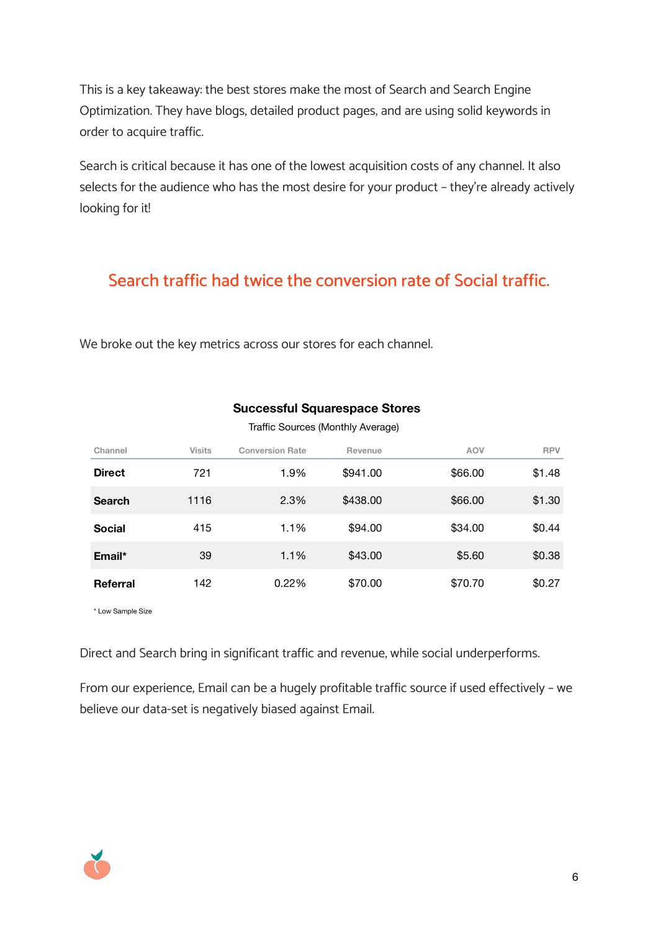This is a key takeaway: the best stores make the most of Search and Search Engine Optimization. They have blogs, detailed product pages, and are using solid keywords in order to acquire traffic.

Search is critical because it has one of the lowest acquisition costs of any channel. It also selects for the audience who has the most desire for your product – they're already actively looking for it!

#### Search traffic had twice the conversion rate of Social traffic.

We broke out the key metrics across our stores for each channel.

| Channel       | <b>Visits</b> | <b>Conversion Rate</b> | Revenue  | <b>AOV</b> | <b>RPV</b> |  |
|---------------|---------------|------------------------|----------|------------|------------|--|
| <b>Direct</b> | 721           | 1.9%                   | \$941.00 | \$66.00    | \$1.48     |  |
| <b>Search</b> | 1116          | 2.3%                   | \$438.00 | \$66.00    | \$1.30     |  |
| <b>Social</b> | 415           | 1.1%                   | \$94.00  | \$34.00    | \$0.44     |  |
| Email*        | 39            | 1.1%                   | \$43.00  | \$5.60     | \$0.38     |  |
| Referral      | 142           | 0.22%                  | \$70.00  | \$70.70    | \$0.27     |  |

#### **Successful Squarespace Stores**

Traffic Sources (Monthly Average)

\* Low Sample Size

Direct and Search bring in significant traffic and revenue, while social underperforms.

From our experience, Email can be a hugely profitable traffic source if used effectively – we believe our data-set is negatively biased against Email.